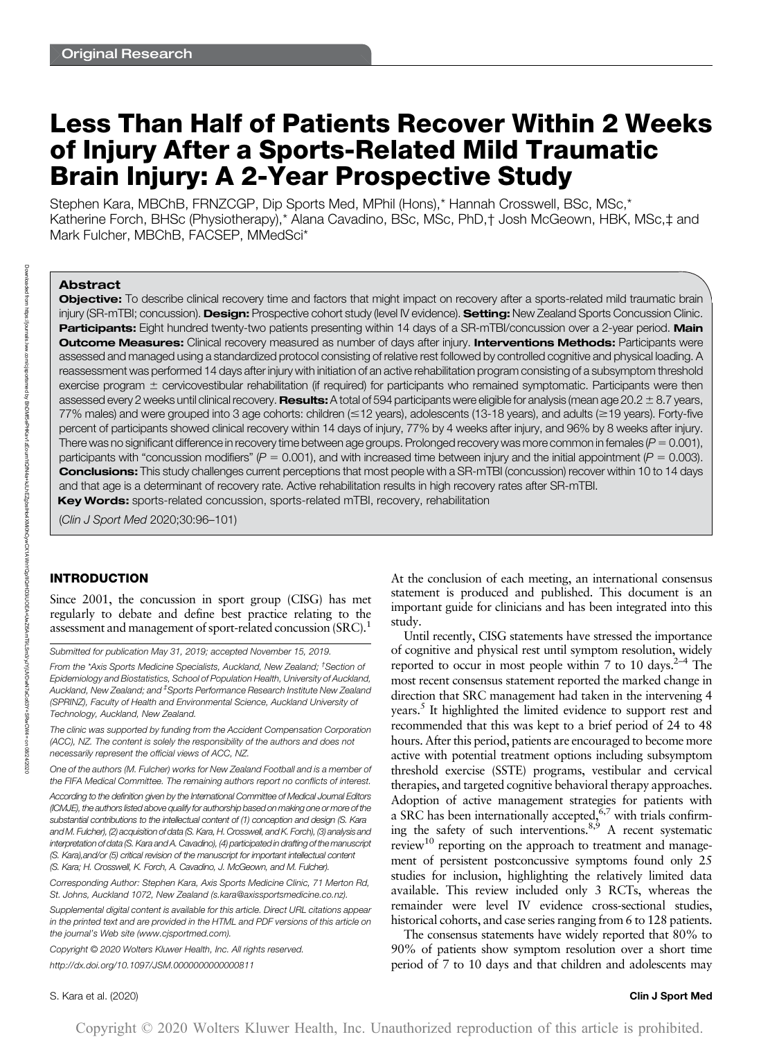# Less Than Half of Patients Recover Within 2 Weeks of Injury After a Sports-Related Mild Traumatic Brain Injury: A 2-Year Prospective Study

Stephen Kara, MBChB, FRNZCGP, Dip Sports Med, MPhil (Hons),\* Hannah Crosswell, BSc, MSc,\* Katherine Forch, BHSc (Physiotherapy),\* Alana Cavadino, BSc, MSc, PhD,† Josh McGeown, HBK, MSc,‡ and Mark Fulcher, MBChB, FACSEP, MMedSci\*

# Abstract

Downloaded

bownloaded from https://journals.hvv

https://journals.lww.com/cjsportsmed

Objective: To describe clinical recovery time and factors that might impact on recovery after a sports-related mild traumatic brain injury (SR-mTBI; concussion). Design: Prospective cohort study (level IV evidence). Setting: New Zealand Sports Concussion Clinic. Participants: Eight hundred twenty-two patients presenting within 14 days of a SR-mTBI/concussion over a 2-year period. Main **Outcome Measures:** Clinical recovery measured as number of days after injury. Interventions Methods: Participants were assessed and managed using a standardized protocol consisting of relative rest followed by controlled cognitive and physical loading. A reassessment was performed 14 days after injury with initiation of an active rehabilitation program consisting of a subsymptom threshold exercise program  $\pm$  cervicovestibular rehabilitation (if required) for participants who remained symptomatic. Participants were then assessed every 2 weeks until clinical recovery. Results: A total of 594 participants were eligible for analysis (mean age 20.2  $\pm$  8.7 years, 77% males) and were grouped into 3 age cohorts: children (≤12 years), adolescents (13-18 years), and adults (≥19 years). Forty-five percent of participants showed clinical recovery within 14 days of injury, 77% by 4 weeks after injury, and 96% by 8 weeks after injury. There was no significant difference in recovery time between age groups. Prolonged recovery was more common in females ( $P = 0.001$ ), participants with "concussion modifiers"  $(P = 0.001)$ , and with increased time between injury and the initial appointment  $(P = 0.003)$ . Conclusions: This study challenges current perceptions that most people with a SR-mTBI (concussion) recover within 10 to 14 days and that age is a determinant of recovery rate. Active rehabilitation results in high recovery rates after SR-mTBI. Key Words: sports-related concussion, sports-related mTBI, recovery, rehabilitation

(Clin J Sport Med 2020;30:96–101)

# INTRODUCTION

Since 2001, the concussion in sport group (CISG) has met regularly to debate and define best practice relating to the assessment and management of sport-related concussion (SRC).<sup>1</sup>

Submitted for publication May 31, 2019; accepted November 15, 2019.

From the \*Axis Sports Medicine Specialists, Auckland, New Zealand; † Section of Epidemiology and Biostatistics, School of Population Health, University of Auckland, Auckland, New Zealand; and <sup>‡</sup>Sports Performance Research Institute New Zealand (SPRINZ), Faculty of Health and Environmental Science, Auckland University of Technology, Auckland, New Zealand.

The clinic was supported by funding from the Accident Compensation Corporation (ACC), NZ. The content is solely the responsibility of the authors and does not necessarily represent the official views of ACC, NZ.

One of the authors (M. Fulcher) works for New Zealand Football and is a member of the FIFA Medical Committee. The remaining authors report no conflicts of interest.

According to the definition given by the International Committee of Medical Journal Editors (ICMJE), the authors listed above qualify for authorship based on making one or more of the substantial contributions to the intellectual content of (1) conception and design (S. Kara andM. Fulcher), (2) acquisition of data (S. Kara, H. Crosswell, and K. Forch), (3) analysis and interpretation of data (S. Kara and A. Cavadino), (4) participated in drafting of the manuscript (S. Kara),and/or (5) critical revision of the manuscript for important intellectual content (S. Kara; H. Crosswell, K. Forch, A. Cavadino, J. McGeown, and M. Fulcher).

Corresponding Author: Stephen Kara, Axis Sports Medicine Clinic, 71 Merton Rd, St. Johns, Auckland 1072, New Zealand ([s.kara@axissportsmedicine.co.nz\)](mailto:s.kara@axissportsmedicine.co.nz).

Supplemental digital content is available for this article. Direct URL citations appear in the printed text and are provided in the HTML and PDF versions of this article on the journal's Web site [\(www.cjsportmed.com\)](http://www.cjsportmed.com).

Copyright © 2020 Wolters Kluwer Health, Inc. All rights reserved. <http://dx.doi.org/10.1097/JSM.0000000000000811>

At the conclusion of each meeting, an international consensus statement is produced and published. This document is an important guide for clinicians and has been integrated into this study.

Until recently, CISG statements have stressed the importance of cognitive and physical rest until symptom resolution, widely reported to occur in most people within  $7$  to 10 days.<sup>2-4</sup> The most recent consensus statement reported the marked change in direction that SRC management had taken in the intervening 4 years.<sup>5</sup> It highlighted the limited evidence to support rest and recommended that this was kept to a brief period of 24 to 48 hours. After this period, patients are encouraged to become more active with potential treatment options including subsymptom threshold exercise (SSTE) programs, vestibular and cervical therapies, and targeted cognitive behavioral therapy approaches. Adoption of active management strategies for patients with a SRC has been internationally accepted,  $6,7$  with trials confirming the safety of such interventions.<sup>8,9</sup> A recent systematic review<sup>10</sup> reporting on the approach to treatment and management of persistent postconcussive symptoms found only 25 studies for inclusion, highlighting the relatively limited data available. This review included only 3 RCTs, whereas the remainder were level IV evidence cross-sectional studies, historical cohorts, and case series ranging from 6 to 128 patients.

The consensus statements have widely reported that 80% to 90% of patients show symptom resolution over a short time period of 7 to 10 days and that children and adolescents may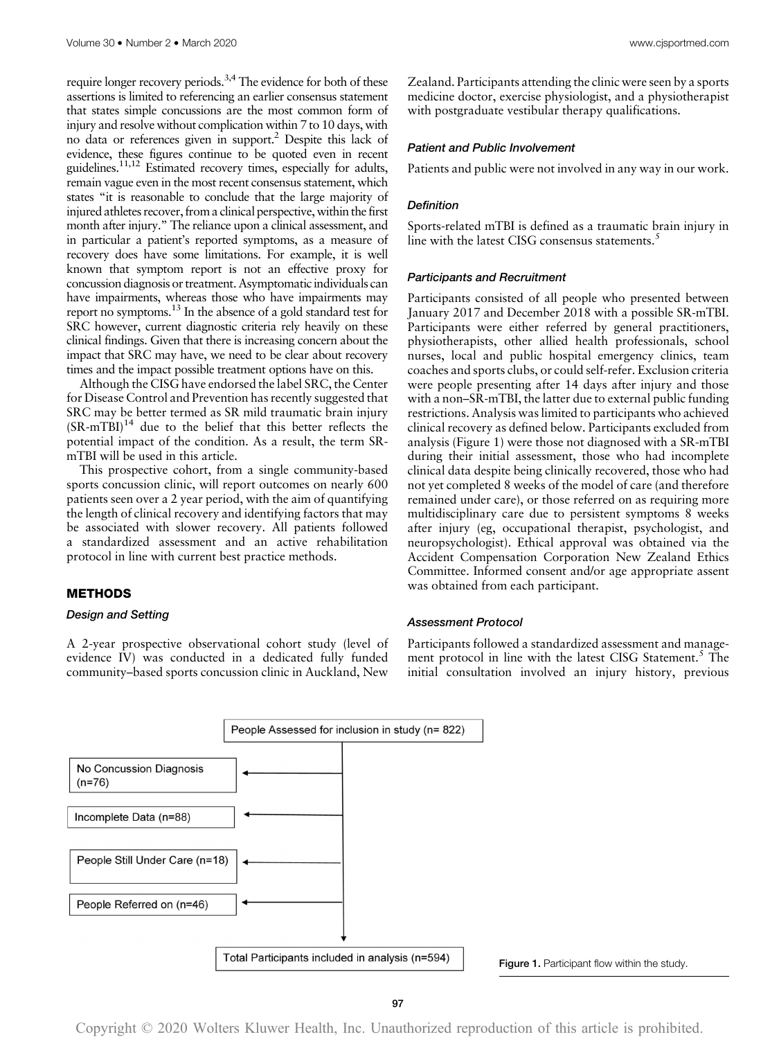require longer recovery periods.<sup>3,4</sup> The evidence for both of these assertions is limited to referencing an earlier consensus statement that states simple concussions are the most common form of injury and resolve without complication within 7 to 10 days, with no data or references given in support.2 Despite this lack of evidence, these figures continue to be quoted even in recent guidelines.11,12 Estimated recovery times, especially for adults, remain vague even in the most recent consensus statement, which states "it is reasonable to conclude that the large majority of injured athletes recover, from a clinical perspective, within the first month after injury." The reliance upon a clinical assessment, and in particular a patient's reported symptoms, as a measure of recovery does have some limitations. For example, it is well known that symptom report is not an effective proxy for concussion diagnosis or treatment. Asymptomatic individuals can have impairments, whereas those who have impairments may report no symptoms.13 In the absence of a gold standard test for SRC however, current diagnostic criteria rely heavily on these clinical findings. Given that there is increasing concern about the impact that SRC may have, we need to be clear about recovery times and the impact possible treatment options have on this.

Although the CISG have endorsed the label SRC, the Center for Disease Control and Prevention has recently suggested that SRC may be better termed as SR mild traumatic brain injury  $(SR\text{-}mTBI)^{14}$  due to the belief that this better reflects the potential impact of the condition. As a result, the term SRmTBI will be used in this article.

This prospective cohort, from a single community-based sports concussion clinic, will report outcomes on nearly 600 patients seen over a 2 year period, with the aim of quantifying the length of clinical recovery and identifying factors that may be associated with slower recovery. All patients followed a standardized assessment and an active rehabilitation protocol in line with current best practice methods.

# METHODS

#### Design and Setting

A 2-year prospective observational cohort study (level of evidence IV) was conducted in a dedicated fully funded community–based sports concussion clinic in Auckland, New Zealand. Participants attending the clinic were seen by a sports medicine doctor, exercise physiologist, and a physiotherapist with postgraduate vestibular therapy qualifications.

#### Patient and Public Involvement

Patients and public were not involved in any way in our work.

### **Definition**

Sports-related mTBI is defined as a traumatic brain injury in line with the latest CISG consensus statements.<sup>5</sup>

#### Participants and Recruitment

Participants consisted of all people who presented between January 2017 and December 2018 with a possible SR-mTBI. Participants were either referred by general practitioners, physiotherapists, other allied health professionals, school nurses, local and public hospital emergency clinics, team coaches and sports clubs, or could self-refer. Exclusion criteria were people presenting after 14 days after injury and those with a non–SR-mTBI, the latter due to external public funding restrictions. Analysis was limited to participants who achieved clinical recovery as defined below. Participants excluded from analysis (Figure 1) were those not diagnosed with a SR-mTBI during their initial assessment, those who had incomplete clinical data despite being clinically recovered, those who had not yet completed 8 weeks of the model of care (and therefore remained under care), or those referred on as requiring more multidisciplinary care due to persistent symptoms 8 weeks after injury (eg, occupational therapist, psychologist, and neuropsychologist). Ethical approval was obtained via the Accident Compensation Corporation New Zealand Ethics Committee. Informed consent and/or age appropriate assent was obtained from each participant.

#### Assessment Protocol

Participants followed a standardized assessment and management protocol in line with the latest CISG Statement.<sup>5</sup> The initial consultation involved an injury history, previous



**Figure 1.** Participant flow within the study.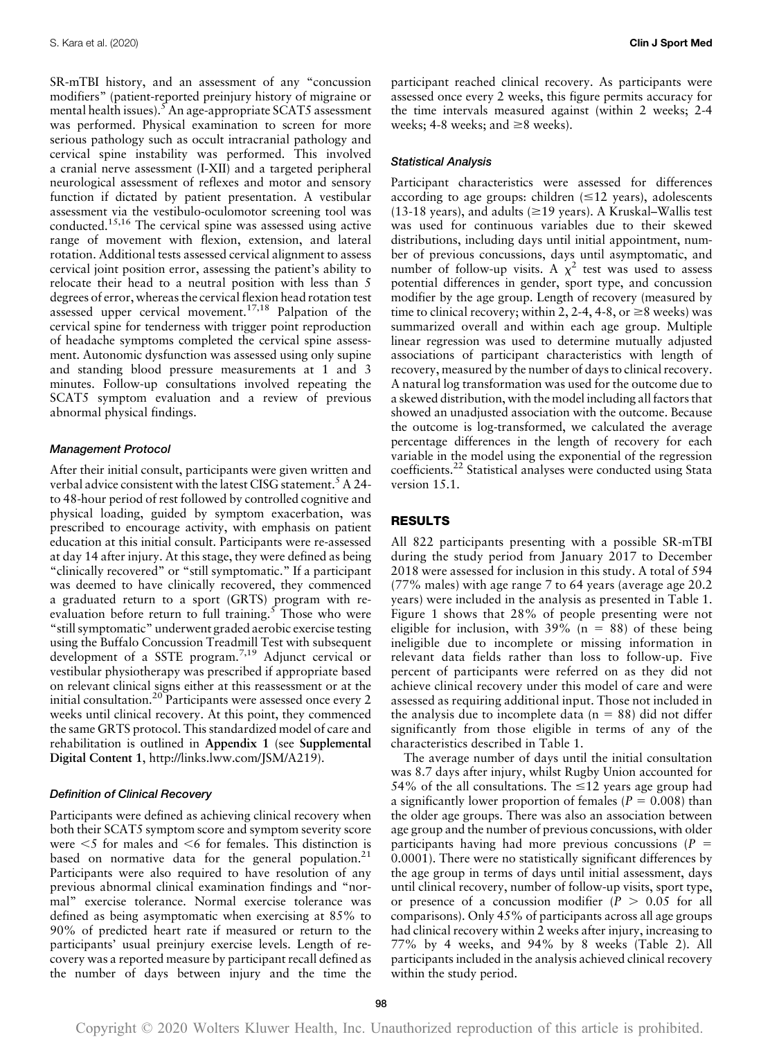SR-mTBI history, and an assessment of any "concussion modifiers" (patient-reported preinjury history of migraine or mental health issues).<sup>5</sup> An age-appropriate SCAT5 assessment was performed. Physical examination to screen for more serious pathology such as occult intracranial pathology and cervical spine instability was performed. This involved a cranial nerve assessment (I-XII) and a targeted peripheral neurological assessment of reflexes and motor and sensory function if dictated by patient presentation. A vestibular assessment via the vestibulo-oculomotor screening tool was conducted.15,16 The cervical spine was assessed using active range of movement with flexion, extension, and lateral rotation. Additional tests assessed cervical alignment to assess cervical joint position error, assessing the patient's ability to relocate their head to a neutral position with less than 5 degrees of error, whereas the cervical flexion head rotation test assessed upper cervical movement.<sup>17,18</sup> Palpation of the cervical spine for tenderness with trigger point reproduction of headache symptoms completed the cervical spine assessment. Autonomic dysfunction was assessed using only supine and standing blood pressure measurements at 1 and 3 minutes. Follow-up consultations involved repeating the SCAT5 symptom evaluation and a review of previous abnormal physical findings.

#### Management Protocol

After their initial consult, participants were given written and verbal advice consistent with the latest CISG statement.<sup>5</sup> A 24to 48-hour period of rest followed by controlled cognitive and physical loading, guided by symptom exacerbation, was prescribed to encourage activity, with emphasis on patient education at this initial consult. Participants were re-assessed at day 14 after injury. At this stage, they were defined as being "clinically recovered" or "still symptomatic." If a participant was deemed to have clinically recovered, they commenced a graduated return to a sport (GRTS) program with reevaluation before return to full training.<sup> $5$ </sup> Those who were "still symptomatic" underwent graded aerobic exercise testing using the Buffalo Concussion Treadmill Test with subsequent development of a SSTE program.7,19 Adjunct cervical or vestibular physiotherapy was prescribed if appropriate based on relevant clinical signs either at this reassessment or at the initial consultation.<sup>20</sup> Participants were assessed once every 2 weeks until clinical recovery. At this point, they commenced the same GRTS protocol. This standardized model of care and rehabilitation is outlined in Appendix 1 (see Supplemental Digital Content 1, [http://links.lww.com/JSM/A219\)](http://links.lww.com/JSM/A219).

#### Definition of Clinical Recovery

Participants were defined as achieving clinical recovery when both their SCAT5 symptom score and symptom severity score were  $\leq$  for males and  $\leq$  for females. This distinction is based on normative data for the general population.<sup>21</sup> Participants were also required to have resolution of any previous abnormal clinical examination findings and "normal" exercise tolerance. Normal exercise tolerance was defined as being asymptomatic when exercising at 85% to 90% of predicted heart rate if measured or return to the participants' usual preinjury exercise levels. Length of recovery was a reported measure by participant recall defined as the number of days between injury and the time the

participant reached clinical recovery. As participants were assessed once every 2 weeks, this figure permits accuracy for the time intervals measured against (within 2 weeks; 2-4 weeks; 4-8 weeks; and  $\geq$ 8 weeks).

#### Statistical Analysis

Participant characteristics were assessed for differences according to age groups: children  $(\leq 12$  years), adolescents (13-18 years), and adults ( $\geq$ 19 years). A Kruskal–Wallis test was used for continuous variables due to their skewed distributions, including days until initial appointment, number of previous concussions, days until asymptomatic, and number of follow-up visits. A  $\chi^2$  test was used to assess potential differences in gender, sport type, and concussion modifier by the age group. Length of recovery (measured by time to clinical recovery; within 2, 2-4, 4-8, or  $\geq$ 8 weeks) was summarized overall and within each age group. Multiple linear regression was used to determine mutually adjusted associations of participant characteristics with length of recovery, measured by the number of days to clinical recovery. A natural log transformation was used for the outcome due to a skewed distribution, with the model including all factors that showed an unadjusted association with the outcome. Because the outcome is log-transformed, we calculated the average percentage differences in the length of recovery for each variable in the model using the exponential of the regression coefficients.<sup>22</sup> Statistical analyses were conducted using Stata version 15.1.

# RESULTS

All 822 participants presenting with a possible SR-mTBI during the study period from January 2017 to December 2018 were assessed for inclusion in this study. A total of 594 (77% males) with age range 7 to 64 years (average age 20.2 years) were included in the analysis as presented in Table 1. Figure 1 shows that 28% of people presenting were not eligible for inclusion, with  $39\%$  (n = 88) of these being ineligible due to incomplete or missing information in relevant data fields rather than loss to follow-up. Five percent of participants were referred on as they did not achieve clinical recovery under this model of care and were assessed as requiring additional input. Those not included in the analysis due to incomplete data ( $n = 88$ ) did not differ significantly from those eligible in terms of any of the characteristics described in Table 1.

The average number of days until the initial consultation was 8.7 days after injury, whilst Rugby Union accounted for 54% of the all consultations. The  $\leq$ 12 years age group had a significantly lower proportion of females ( $P = 0.008$ ) than the older age groups. There was also an association between age group and the number of previous concussions, with older participants having had more previous concussions ( $P =$ 0.0001). There were no statistically significant differences by the age group in terms of days until initial assessment, days until clinical recovery, number of follow-up visits, sport type, or presence of a concussion modifier ( $P > 0.05$  for all comparisons). Only 45% of participants across all age groups had clinical recovery within 2 weeks after injury, increasing to 77% by 4 weeks, and 94% by 8 weeks (Table 2). All participants included in the analysis achieved clinical recovery within the study period.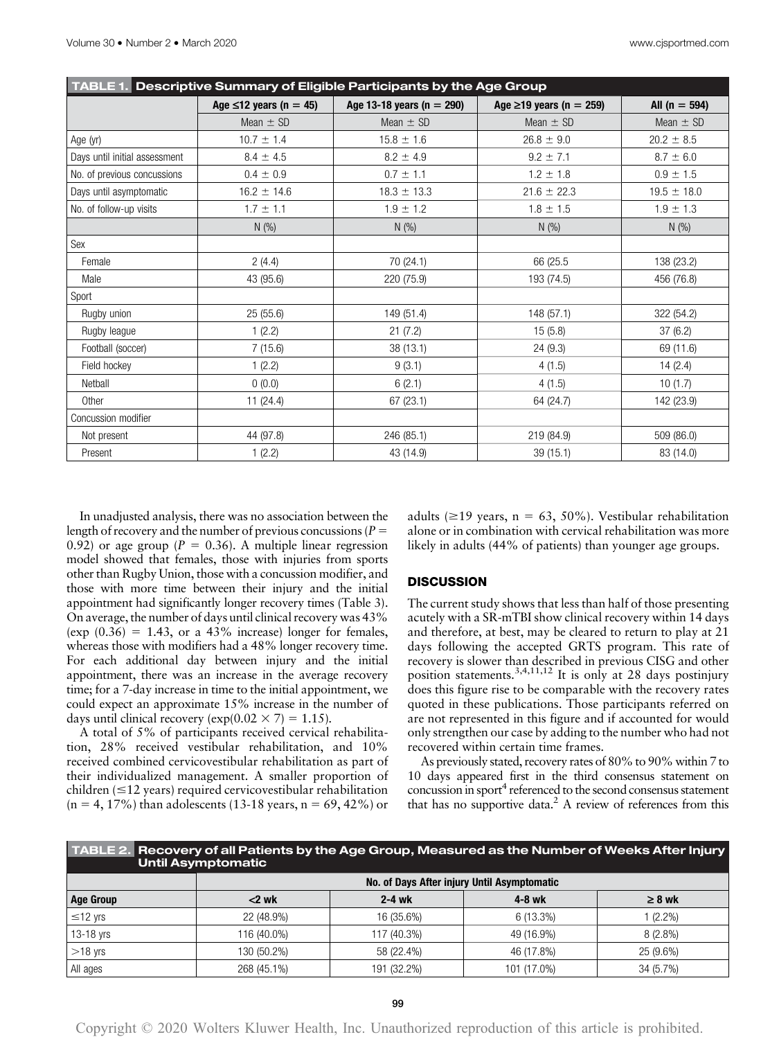| TABLE 1. Descriptive Summary of Eligible Participants by the Age Group |                              |                               |                               |                   |  |  |
|------------------------------------------------------------------------|------------------------------|-------------------------------|-------------------------------|-------------------|--|--|
|                                                                        | Age $\leq$ 12 years (n = 45) | Age 13-18 years ( $n = 290$ ) | Age $\geq$ 19 years (n = 259) | All ( $n = 594$ ) |  |  |
|                                                                        | Mean $\pm$ SD                | Mean $\pm$ SD                 | Mean $\pm$ SD                 | Mean $\pm$ SD     |  |  |
| Age (yr)                                                               | $10.7 \pm 1.4$               | $15.8 \pm 1.6$                | $26.8 \pm 9.0$                | $20.2 \pm 8.5$    |  |  |
| Days until initial assessment                                          | $8.4 \pm 4.5$                | $8.2 \pm 4.9$                 | $9.2 \pm 7.1$                 | $8.7 \pm 6.0$     |  |  |
| No. of previous concussions                                            | $0.4 \pm 0.9$                | $0.7 \pm 1.1$                 | $1.2 \pm 1.8$                 | $0.9 \pm 1.5$     |  |  |
| Days until asymptomatic                                                | $16.2 \pm 14.6$              | $18.3 \pm 13.3$               | $21.6 \pm 22.3$               | $19.5 \pm 18.0$   |  |  |
| No. of follow-up visits                                                | $1.7 \pm 1.1$                | $1.9 \pm 1.2$                 | $1.8 \pm 1.5$                 | $1.9 \pm 1.3$     |  |  |
|                                                                        | N(% )                        | N(% )                         | N(% )                         | N(%)              |  |  |
| Sex                                                                    |                              |                               |                               |                   |  |  |
| Female                                                                 | 2(4.4)                       | 70 (24.1)                     | 66 (25.5                      | 138 (23.2)        |  |  |
| Male                                                                   | 43 (95.6)                    | 220 (75.9)                    | 193 (74.5)                    | 456 (76.8)        |  |  |
| Sport                                                                  |                              |                               |                               |                   |  |  |
| Rugby union                                                            | 25 (55.6)                    | 149 (51.4)                    | 148 (57.1)                    | 322 (54.2)        |  |  |
| Rugby league                                                           | 1(2.2)                       | 21(7.2)                       | 15(5.8)                       | 37(6.2)           |  |  |
| Football (soccer)                                                      | 7(15.6)                      | 38 (13.1)                     | 24 (9.3)                      | 69 (11.6)         |  |  |
| Field hockey                                                           | 1(2.2)                       | 9(3.1)                        | 4(1.5)                        | 14(2.4)           |  |  |
| Netball                                                                | 0(0.0)                       | 6(2.1)                        | 4(1.5)                        | 10(1.7)           |  |  |
| Other                                                                  | 11(24.4)                     | 67(23.1)                      | 64 (24.7)                     | 142 (23.9)        |  |  |
| Concussion modifier                                                    |                              |                               |                               |                   |  |  |
| Not present                                                            | 44 (97.8)                    | 246 (85.1)                    | 219 (84.9)                    | 509 (86.0)        |  |  |
| Present                                                                | 1(2.2)                       | 43 (14.9)                     | 39(15.1)                      | 83 (14.0)         |  |  |

In unadjusted analysis, there was no association between the length of recovery and the number of previous concussions ( $P =$ 0.92) or age group ( $P = 0.36$ ). A multiple linear regression model showed that females, those with injuries from sports other than Rugby Union, those with a concussion modifier, and those with more time between their injury and the initial appointment had significantly longer recovery times (Table 3). On average, the number of days until clinical recovery was 43% (exp  $(0.36) = 1.43$ , or a 43% increase) longer for females, whereas those with modifiers had a 48% longer recovery time. For each additional day between injury and the initial appointment, there was an increase in the average recovery time; for a 7-day increase in time to the initial appointment, we could expect an approximate 15% increase in the number of days until clinical recovery ( $\exp(0.02 \times 7) = 1.15$ ).

A total of 5% of participants received cervical rehabilitation, 28% received vestibular rehabilitation, and 10% received combined cervicovestibular rehabilitation as part of their individualized management. A smaller proportion of children  $(\leq 12$  years) required cervicovestibular rehabilitation  $(n = 4, 17\%)$  than adolescents (13-18 years,  $n = 69, 42\%$ ) or adults ( $\geq$ 19 years, n = 63, 50%). Vestibular rehabilitation alone or in combination with cervical rehabilitation was more likely in adults (44% of patients) than younger age groups.

# **DISCUSSION**

The current study shows that less than half of those presenting acutely with a SR-mTBI show clinical recovery within 14 days and therefore, at best, may be cleared to return to play at 21 days following the accepted GRTS program. This rate of recovery is slower than described in previous CISG and other position statements.3,4,11,12 It is only at 28 days postinjury does this figure rise to be comparable with the recovery rates quoted in these publications. Those participants referred on are not represented in this figure and if accounted for would only strengthen our case by adding to the number who had not recovered within certain time frames.

As previously stated, recovery rates of 80% to 90% within 7 to 10 days appeared first in the third consensus statement on concussion in sport<sup>4</sup> referenced to the second consensus statement that has no supportive data.<sup>2</sup> A review of references from this

| TABLE 2. Recovery of all Patients by the Age Group, Measured as the Number of Weeks After Injury<br><b>Until Asymptomatic</b> |                                             |             |             |             |  |  |
|-------------------------------------------------------------------------------------------------------------------------------|---------------------------------------------|-------------|-------------|-------------|--|--|
|                                                                                                                               | No. of Days After injury Until Asymptomatic |             |             |             |  |  |
| <b>Age Group</b>                                                                                                              | $<$ 2 wk                                    | $2 - 4$ wk  | 4-8 wk      | $\geq 8$ wk |  |  |
| $\leq$ 12 yrs                                                                                                                 | 22 (48.9%)                                  | 16 (35.6%)  | 6 (13.3%)   | 1 (2.2%)    |  |  |
| 13-18 yrs                                                                                                                     | 116 (40.0%)                                 | 117 (40.3%) | 49 (16.9%)  | $8(2.8\%)$  |  |  |
| $>18$ yrs                                                                                                                     | 130 (50.2%)                                 | 58 (22.4%)  | 46 (17.8%)  | 25 (9.6%)   |  |  |
| All ages                                                                                                                      | 268 (45.1%)                                 | 191 (32.2%) | 101 (17.0%) | 34 (5.7%)   |  |  |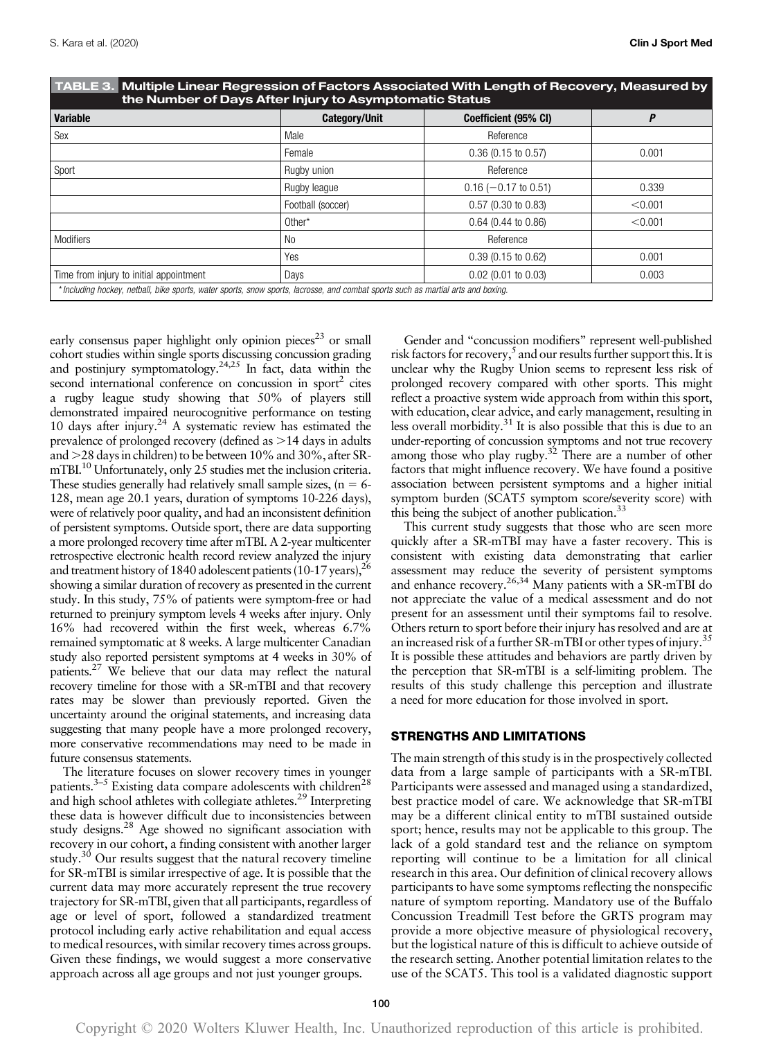| TABLE 3. Multiple Linear Regression of Factors Associated With Length of Recovery, Measured by<br>the Number of Days After Injury to Asymptomatic Status |                      |                        |         |  |  |
|----------------------------------------------------------------------------------------------------------------------------------------------------------|----------------------|------------------------|---------|--|--|
| <b>Variable</b>                                                                                                                                          | <b>Category/Unit</b> | Coefficient (95% CI)   | P       |  |  |
| Sex                                                                                                                                                      | Male                 | Reference              |         |  |  |
|                                                                                                                                                          | Female               | $0.36$ (0.15 to 0.57)  | 0.001   |  |  |
| Sport                                                                                                                                                    | Rugby union          | Reference              |         |  |  |
|                                                                                                                                                          | Rugby league         | $0.16$ (-0.17 to 0.51) | 0.339   |  |  |
|                                                                                                                                                          | Football (soccer)    | $0.57$ (0.30 to 0.83)  | < 0.001 |  |  |
|                                                                                                                                                          | Other*               | $0.64$ (0.44 to 0.86)  | < 0.001 |  |  |
| <b>Modifiers</b>                                                                                                                                         | No                   | Reference              |         |  |  |
|                                                                                                                                                          | Yes                  | $0.39(0.15)$ to $0.62$ | 0.001   |  |  |
| Time from injury to initial appointment                                                                                                                  | Days                 | $0.02$ (0.01 to 0.03)  | 0.003   |  |  |
| * Including hockey, netball, bike sports, water sports, snow sports, lacrosse, and combat sports such as martial arts and boxing.                        |                      |                        |         |  |  |

early consensus paper highlight only opinion pieces<sup>23</sup> or small cohort studies within single sports discussing concussion grading and postinjury symptomatology.<sup>24,25</sup> In fact, data within the second international conference on concussion in sport<sup>2</sup> cites a rugby league study showing that 50% of players still demonstrated impaired neurocognitive performance on testing 10 days after injury.<sup>24</sup> A systematic review has estimated the prevalence of prolonged recovery (defined as  $>14$  days in adults and >28 days in children) to be between 10% and 30%, after SRmTBI.<sup>10</sup> Unfortunately, only 25 studies met the inclusion criteria. These studies generally had relatively small sample sizes,  $(n = 6 - 1)$ 128, mean age 20.1 years, duration of symptoms 10-226 days), were of relatively poor quality, and had an inconsistent definition of persistent symptoms. Outside sport, there are data supporting a more prolonged recovery time after mTBI. A 2-year multicenter retrospective electronic health record review analyzed the injury and treatment history of 1840 adolescent patients  $(10-17 \text{ years})$ ,<sup>26</sup> showing a similar duration of recovery as presented in the current study. In this study, 75% of patients were symptom-free or had returned to preinjury symptom levels 4 weeks after injury. Only 16% had recovered within the first week, whereas 6.7% remained symptomatic at 8 weeks. A large multicenter Canadian study also reported persistent symptoms at 4 weeks in 30% of patients.27 We believe that our data may reflect the natural recovery timeline for those with a SR-mTBI and that recovery rates may be slower than previously reported. Given the uncertainty around the original statements, and increasing data suggesting that many people have a more prolonged recovery, more conservative recommendations may need to be made in future consensus statements.

The literature focuses on slower recovery times in younger patients. $3-5$  Existing data compare adolescents with children<sup>28</sup> and high school athletes with collegiate athletes.<sup>29</sup> Interpreting these data is however difficult due to inconsistencies between study designs.28 Age showed no significant association with recovery in our cohort, a finding consistent with another larger study. $36$  Our results suggest that the natural recovery timeline for SR-mTBI is similar irrespective of age. It is possible that the current data may more accurately represent the true recovery trajectory for SR-mTBI, given that all participants, regardless of age or level of sport, followed a standardized treatment protocol including early active rehabilitation and equal access to medical resources, with similar recovery times across groups. Given these findings, we would suggest a more conservative approach across all age groups and not just younger groups.

Gender and "concussion modifiers" represent well-published risk factors for recovery,<sup>5</sup> and our results further support this. It is unclear why the Rugby Union seems to represent less risk of prolonged recovery compared with other sports. This might reflect a proactive system wide approach from within this sport, with education, clear advice, and early management, resulting in less overall morbidity.<sup>31</sup> It is also possible that this is due to an under-reporting of concussion symptoms and not true recovery among those who play rugby.<sup>32</sup> There are a number of other factors that might influence recovery. We have found a positive association between persistent symptoms and a higher initial symptom burden (SCAT5 symptom score/severity score) with this being the subject of another publication.<sup>33</sup>

This current study suggests that those who are seen more quickly after a SR-mTBI may have a faster recovery. This is consistent with existing data demonstrating that earlier assessment may reduce the severity of persistent symptoms and enhance recovery.26,34 Many patients with a SR-mTBI do not appreciate the value of a medical assessment and do not present for an assessment until their symptoms fail to resolve. Others return to sport before their injury has resolved and are at an increased risk of a further SR-mTBI or other types of injury.35 It is possible these attitudes and behaviors are partly driven by the perception that SR-mTBI is a self-limiting problem. The results of this study challenge this perception and illustrate a need for more education for those involved in sport.

# STRENGTHS AND LIMITATIONS

The main strength of this study is in the prospectively collected data from a large sample of participants with a SR-mTBI. Participants were assessed and managed using a standardized, best practice model of care. We acknowledge that SR-mTBI may be a different clinical entity to mTBI sustained outside sport; hence, results may not be applicable to this group. The lack of a gold standard test and the reliance on symptom reporting will continue to be a limitation for all clinical research in this area. Our definition of clinical recovery allows participants to have some symptoms reflecting the nonspecific nature of symptom reporting. Mandatory use of the Buffalo Concussion Treadmill Test before the GRTS program may provide a more objective measure of physiological recovery, but the logistical nature of this is difficult to achieve outside of the research setting. Another potential limitation relates to the use of the SCAT5. This tool is a validated diagnostic support